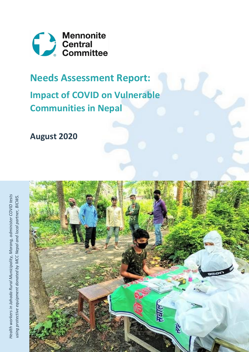

# **Needs Assessment Report:**

**Impact of COVID on Vulnerable Communities in Nepal**

**August 2020**



*Health workers in Jahada Rural Municipality, Morang, administer COVID tests*  Health workers in Jahada Rural Municipality, Morang, administer COVID tests using protective equipment donated by MCC Nepal and local partner, BICWS. *using protective equipment donated by MCC Nepal and local partner, BICWS.*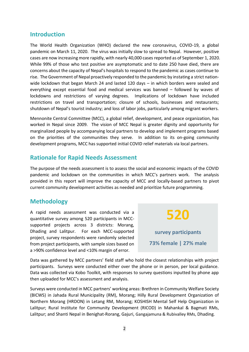#### **Introduction**

The World Health Organization (WHO) declared the new coronavirus, COVID-19, a global pandemic on March 11, 2020. The virus was initially slow to spread to Nepal. However, positive cases are now increasing more rapidly, with nearly 40,000 cases reported as of September 1, 2020. While 99% of those who test positive are asymptomatic and to date 250 have died, there are concerns about the capacity of Nepal's hospitals to respond to the pandemic as cases continue to rise. The Government of Nepal proactively responded to the pandemic by instating a strict nationwide lockdown that began March 24 and lasted 120 days – in which borders were sealed and everything except essential food and medical services was banned – followed by waves of lockdowns and restrictions of varying degrees. Implications of lockdown have included restrictions on travel and transportation; closure of schools, businesses and restaurants; shutdown of Nepal's tourist industry; and loss of labor jobs, particularly among migrant workers.

Mennonite Central Committee (MCC), a global relief, development, and peace organization, has worked in Nepal since 2009. The vision of MCC Nepal is greater dignity and opportunity for marginalized people by accompanying local partners to develop and implement programs based on the priorities of the communities they serve. In addition to its on-going community development programs, MCC has supported initial COVID relief materials via local partners.

### **Rationale for Rapid Needs Assessment**

The purpose of the needs assessment is to assess the social and economic impacts of the COVID pandemic and lockdown on the communities in which MCC's partners work. The analysis provided in this report will improve the capacity of MCC and locally-based partners to pivot current community development activities as needed and prioritize future programming.

### **Methodology**

A rapid needs assessment was conducted via a quantitative survey among 520 participants in MCCsupported projects across 3 districts: Morang, Dhading and Lalitpur. For each MCC-supported project, survey respondents were randomly selected from project participants, with sample sizes based on a >90% confidence level and <10% margin of error.

**520**

**survey participants 73% female | 27% male**

Data was gathered by MCC partners' field staff who hold the closest relationships with project participants. Surveys were conducted either over the phone or in person, per local guidance. Data was collected via Kobo Toolkit, with responses to survey questions inputted by phone app then uploaded for MCC's assessment and analysis.

Surveys were conducted in MCC partners' working areas: Brethren in Community Welfare Society (BICWS) in Jahada Rural Municipality (RM), Morang; Hilly Rural Development Organization of Northern Morang (HRDON) in Letang RM, Morang; KOSHISH Mental Self Help Organization in Lalitpur; Rural Institute for Community Development (RICOD) in Mahankal & Bagmati RMs, Lalitpur; and Shanti Nepal in Benighat-Rorang, Gajuri, Gangajamuna & Rubivalley RMs, Dhading.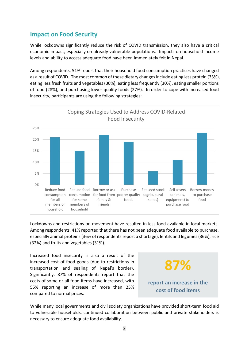# **Impact on Food Security**

While lockdowns significantly reduce the risk of COVID transmission, they also have a critical economic impact, especially on already vulnerable populations. Impacts on household income levels and ability to access adequate food have been immediately felt in Nepal.

Among respondents, 51% report that their household food consumption practices have changed as a result of COVID. The most common of these dietary changes include eating less protein (33%), eating less fresh fruits and vegetables (30%), eating less frequently (30%), eating smaller portions of food (28%), and purchasing lower quality foods (27%). In order to cope with increased food insecurity, participants are using the following strategies:



Lockdowns and restrictions on movement have resulted in less food available in local markets. Among respondents, 41% reported that there has not been adequate food available to purchase, especially animal proteins (36% of respondents report a shortage), lentils and legumes (36%), rice (32%) and fruits and vegetables (31%).

Increased food insecurity is also a result of the increased cost of food goods (due to restrictions in transportation and sealing of Nepal's border). Significantly, 87% of respondents report that the costs of some or all food items have increased, with 55% reporting an increase of more than 25% compared to normal prices.



While many local governments and civil society organizations have provided short-term food aid to vulnerable households, continued collaboration between public and private stakeholders is necessary to ensure adequate food availability.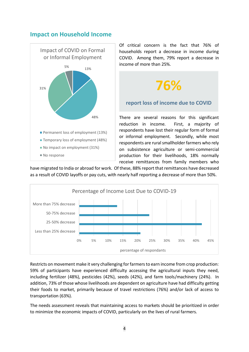#### **Impact on Household Income**



Of critical concern is the fact that 76% of households report a decrease in income during COVID. Among them, 79% report a decrease in income of more than 25%.

### **report loss of income due to COVID**

**76%**

There are several reasons for this significant reduction in income. First, a majority of respondents have lost their regular form of formal or informal employment. Secondly, while most respondents are rural smallholder farmers who rely on subsistence agriculture or semi-commercial production for their livelihoods, 18% normally receive remittances from family members who

have migrated to India or abroad for work. Of these, 88% report that remittances have decreased as a result of COVID layoffs or pay cuts, with nearly half reporting a decrease of more than 50%.



Restricts on movement make it very challenging for farmers to earn income from crop production: 59% of participants have experienced difficulty accessing the agricultural inputs they need, including fertilizer (48%), pesticides (42%), seeds (42%), and farm tools/machinery (24%). In addition, 73% of those whose livelihoods are dependent on agriculture have had difficulty getting their foods to market, primarily because of travel restrictions (76%) and/or lack of access to transportation (63%).

The needs assessment reveals that maintaining access to markets should be prioritized in order to minimize the economic impacts of COVID, particularly on the lives of rural farmers.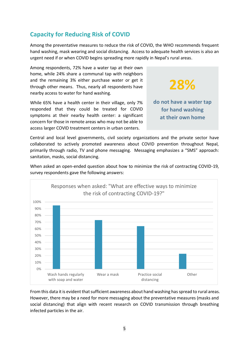# **Capacity for Reducing Risk of COVID**

Among the preventative measures to reduce the risk of COVID, the WHO recommends frequent hand washing, mask wearing and social distancing. Access to adequate health services is also an urgent need if or when COVID begins spreading more rapidly in Nepal's rural areas.

Among respondents, 72% have a water tap at their own home, while 24% share a communal tap with neighbors and the remaining 3% either purchase water or get it through other means. Thus, nearly all respondents have nearby access to water for hand washing.

While 65% have a health center in their village, only 7% responded that they could be treated for COVID symptoms at their nearby health center: a significant concern for those in remote areas who may not be able to access larger COVID treatment centers in urban centers.

**do not have a water tap for hand washing at their own home**

**28%**

Central and local level governments, civil society organizations and the private sector have collaborated to actively promoted awareness about COVID prevention throughout Nepal, primarily through radio, TV and phone messaging. Messaging emphasizes a "SMS" approach: sanitation, masks, social distancing.

When asked an open-ended question about how to minimize the risk of contracting COVID-19, survey respondents gave the following answers:



From this data it is evident that sufficient awareness about hand washing has spread to rural areas. However, there may be a need for more messaging about the preventative measures (masks and social distancing) that align with recent research on COVID transmission through breathing infected particles in the air.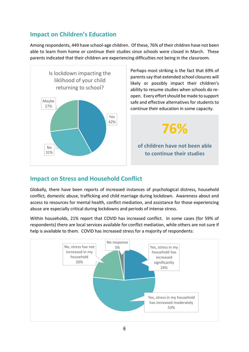# **Impact on Children's Education**

Among respondents, 449 have school-age children. Of these, 76% of their children have not been able to learn from home or continue their studies since schools were closed in March. These parents indicated that their children are experiencing difficulties not being in the classroom.



Perhaps most striking is the fact that 69% of parents say that extended school closures will likely or possibly impact their children's ability to resume studies when schools do reopen. Every effort should be made to support safe and effective alternatives for students to continue their education in some capacity.

**76%**

## **of children have not been able to continue their studies**

# **Impact on Stress and Household Conflict**

Globally, there have been reports of increased instances of psychological distress, household conflict, domestic abuse, trafficking and child marriage during lockdown. Awareness about and access to resources for mental health, conflict mediation, and assistance for those experiencing abuse are especially critical during lockdowns and periods of intense stress.

Within households, 21% report that COVID has increased conflict. In some cases (for 59% of respondents) there are local services available for conflict mediation, while others are not sure if help is available to them. COVID has increased stress for a majority of respondents:

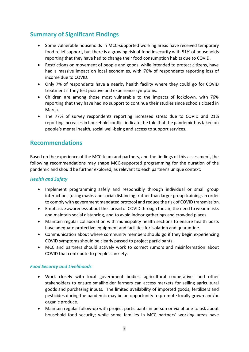# **Summary of Significant Findings**

- Some vulnerable households in MCC-supported working areas have received temporary food relief support, but there is a growing risk of food insecurity with 51% of households reporting that they have had to change their food consumption habits due to COVID.
- Restrictions on movement of people and goods, while intended to protect citizens, have had a massive impact on local economies, with 76% of respondents reporting loss of income due to COVID.
- Only 7% of respondents have a nearby health facility where they could go for COVID treatment if they test positive and experience symptoms.
- Children are among those most vulnerable to the impacts of lockdown, with 76% reporting that they have had no support to continue their studies since schools closed in March.
- The 77% of survey respondents reporting increased stress due to COVID and 21% reporting increases in household conflict indicate the tole that the pandemic has taken on people's mental health, social well-being and access to support services.

# **Recommendations**

Based on the experience of the MCC team and partners, and the findings of this assessment, the following recommendations may shape MCC-supported programming for the duration of the pandemic and should be further explored, as relevant to each partner's unique context:

#### *Health and Safety*

- Implement programming safely and responsibly through individual or small group interactions (using masks and social distancing) rather than larger group trainings in order to comply with government mandated protocol and reduce the risk of COVID transmission.
- Emphasize awareness about the spread of COVID through the air, the need to wear masks and maintain social distancing, and to avoid indoor gatherings and crowded places.
- Maintain regular collaboration with municipality health sections to ensure health posts have adequate protective equipment and facilities for isolation and quarantine.
- Communication about where community members should go if they begin experiencing COVID symptoms should be clearly passed to project participants.
- MCC and partners should actively work to correct rumors and misinformation about COVID that contribute to people's anxiety.

#### *Food Security and Livelihoods*

- Work closely with local government bodies, agricultural cooperatives and other stakeholders to ensure smallholder farmers can access markets for selling agricultural goods and purchasing inputs. The limited availability of imported goods, fertilizers and pesticides during the pandemic may be an opportunity to promote locally grown and/or organic produce.
- Maintain regular follow-up with project participants in person or via phone to ask about household food security; while some families in MCC partners' working areas have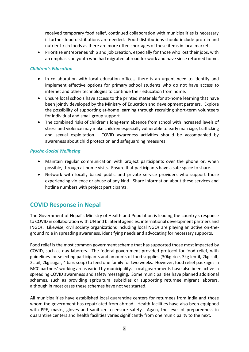received temporary food relief, continued collaboration with municipalities is necessary if further food distributions are needed. Food distributions should include protein and nutrient-rich foods as there are more often shortages of these items in local markets.

• Prioritize entrepreneurship and job creation, especially for those who lost their jobs, with an emphasis on youth who had migrated abroad for work and have since returned home.

#### *Children's Education*

- In collaboration with local education offices, there is an urgent need to identify and implement effective options for primary school students who do not have access to internet and other technologies to continue their education from home.
- Ensure local schools have access to the printed materials for at-home learning that have been jointly developed by the Ministry of Education and development partners. Explore the possibility of supporting at-home learning through recruiting short-term volunteers for individual and small group support.
- The combined risks of children's long-term absence from school with increased levels of stress and violence may make children especially vulnerable to early marriage, trafficking and sexual exploitation. COVID awareness activities should be accompanied by awareness about child protection and safeguarding measures.

#### *Pyscho-Social Wellbeing*

- Maintain regular communication with project participants over the phone or, when possible, through at-home visits. Ensure that participants have a safe space to share.
- Network with locally based public and private service providers who support those experiencing violence or abuse of any kind. Share information about these services and hotline numbers with project participants.

### **COVID Response in Nepal**

The Government of Nepal's Ministry of Health and Population is leading the country's response to COVID in collaboration with UN and bilateral agencies, international development partners and INGOs. Likewise, civil society organizations including local NGOs are playing an active on-theground role in spreading awareness, identifying needs and advocating for necessary supports.

Food relief is the most common government scheme that has supported those most impacted by COVID, such as day laborers. The federal government provided protocol for food relief, with guidelines for selecting participants and amounts of food supplies (30kg rice, 3kg lentil, 2kg salt, 2L oil, 2kg sugar, 4 bars soap) to feed one family for two weeks. However, food relief packages in MCC partners' working areas varied by municipality. Local governments have also been active in spreading COVID awareness and safety messaging. Some municipalities have planned additional schemes, such as providing agricultural subsidies or supporting returnee migrant laborers, although in most cases these schemes have not yet started.

All municipalities have established local quarantine centers for returnees from India and those whom the government has repatriated from abroad. Health facilities have also been equipped with PPE, masks, gloves and sanitizer to ensure safety. Again, the level of preparedness in quarantine centers and health facilities varies significantly from one municipality to the next.